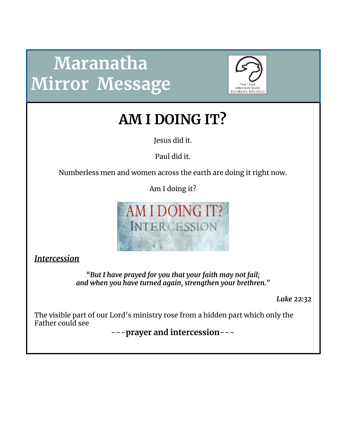# **Maranatha Mirror Message**



**AM I DOING IT?**

Jesus did it.

Paul did it.

Numberless men and women across the earth are doing it right now.

Am I doing it?



*Intercession*

*"But I have prayed for you that your faith may not fail; and when you have turned again, strengthen your brethren."*

*Luke 22:32*

The visible part of our Lord's ministry rose from a hidden part which only the Father could see

---**prayer and intercession**---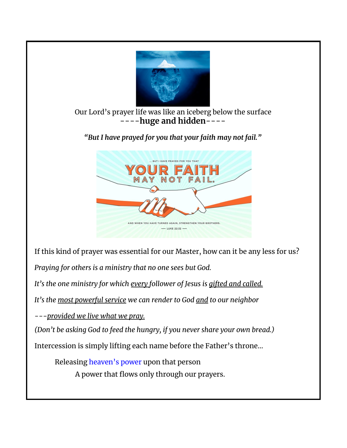

## Our Lord's prayer life was like an iceberg below the surface ----**huge and hidden**----

*"But I have prayed for you that your faith may not fail."*



If this kind of prayer was essential for our Master, how can it be any less for us?

*Praying for others is a ministry that no one sees but God.*

*It's the one ministry for which every follower of Jesus is gifted and called.*

*It's the most powerful service we can render to God and to our neighbor*

*---provided we live what we pray.*

*(Don't be asking God to feed the hungry, if you never share your own bread.)*

Intercession is simply lifting each name before the Father's throne...

Releasing heaven's power upon that person A power that flows only through our prayers.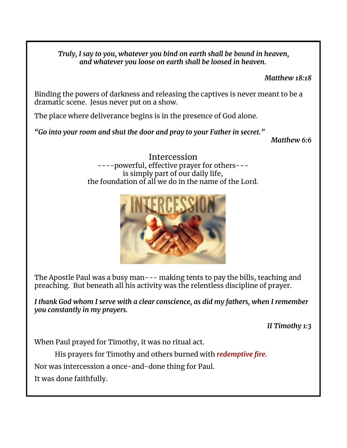*Truly, I say to you, whatever you bind on earth shall be bound in heaven, and whatever you loose on earth shall be loosed in heaven.*

*Matthew 18:18*

Binding the powers of darkness and releasing the captives is never meant to be a dramatic scene. Jesus never put on a show.

The place where deliverance begins is in the presence of God alone.

*"Go into your room and shut the door and pray to your Father in secret."*

*Matthew 6:6*

Intercession ----powerful, effective prayer for others-- is simply part of our daily life, the foundation of all we do in the name of the Lord.



The Apostle Paul was a busy man--- making tents to pay the bills, teaching and preaching. But beneath all his activity was the relentless discipline of prayer.

*I thank God whom I serve with a clear conscience, as did my fathers, when I remember you constantly in my prayers.*

*II Timothy 1:3*

When Paul prayed for Timothy, it was no ritual act.

His prayers for Timothy and others burned with *redemptive fire.*

Nor was intercession a once-and-done thing for Paul.

It was done faithfully.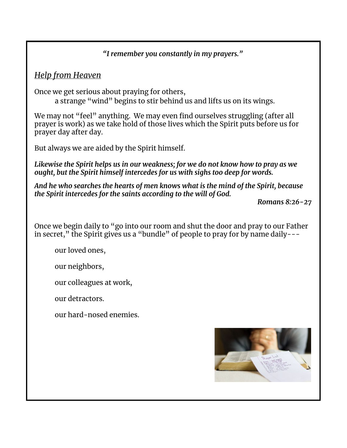## *"I remember you constantly in my prayers."*

# *Help from Heaven*

Once we get serious about praying for others, a strange "wind" begins to stir behind us and lifts us on its wings.

We may not "feel" anything. We may even find ourselves struggling (after all prayer is work) as we take hold of those lives which the Spirit puts before us for prayer day after day.

But always we are aided by the Spirit himself.

*Likewise the Spirit helps us in our weakness; for we do not know how to pray as we ought, but the Spirit himself intercedes for us with sighs too deep for words.*

*And he who searches the hearts of men knows what is the mind of the Spirit, because the Spirit intercedes for the saints according to the will of God.*

*Romans 8:26-27*

Once we begin daily to "go into our room and shut the door and pray to our Father in secret," the Spirit gives us a "bundle" of people to pray for by name daily---

our loved ones,

our neighbors,

our colleagues at work,

our detractors.

our hard-nosed enemies.

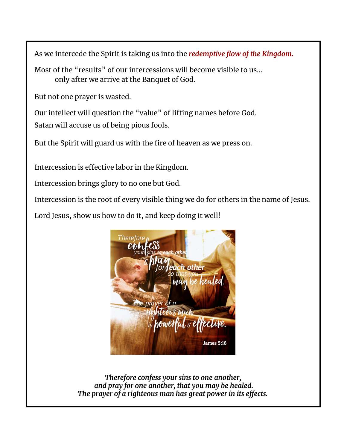As we intercede the Spirit is taking us into the *redemptive flow of the Kingdom.*

Most of the "results" of our intercessions will become visible to us… only after we arrive at the Banquet of God.

But not one prayer is wasted.

Our intellect will question the "value" of lifting names before God. Satan will accuse us of being pious fools.

But the Spirit will guard us with the fire of heaven as we press on.

Intercession is effective labor in the Kingdom.

Intercession brings glory to no one but God.

Intercession is the root of every visible thing we do for others in the name of Jesus.

Lord Jesus, show us how to do it, and keep doing it well!



*Therefore confess your sins to one another, and pray for one another, that you may be healed. The prayer of a righteous man has great power in its effects.*